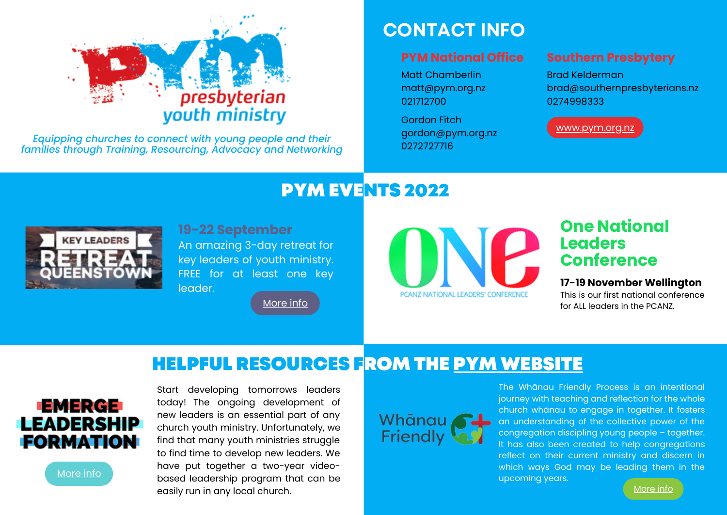# presbyterian youth ministry

*Equipping churches to connect with young people and their families through Training, Resourcing, Advocacy and Networking*

## **CONTACT INFO**

#### **PYM National Office**

Matt Chamberlin [matt@pym.org.nz](mailto:matt@pym.org.nz) 021712700

Gordon Fitch [gordon@pym.org.nz](mailto:gordon@pym.org.nz) 0272727716

#### **Southern Presbytery**

Brad Kelderman [brad@southernpresbyterians.nz](mailto:brad@southernpresbyterians.nz) 0274998333

[www.pym.org.nz](http://www.pym.org.nz/)

# PYM EVENTS 2022



**19-22 September**

An amazing 3-day retreat for key leaders of youth ministry. FREE for at least one key leader.

[More](http://pym.org.nz/queenstown/) info



### **One National Leaders Conference**

#### **17-19 November Wellington**

This is our first national conference for ALL leaders in the PCANZ.

# HELPFUL RESOURCES FROM THE PYM [WEBSITE](http://pym.org.nz/)



[More](http://pym.org.nz/training/emerge/) info

Start developing tomorrows leaders today! The ongoing development of new leaders is an essential part of any church youth ministry. Unfortunately, we find that many youth ministries struggle to find time to develop new leaders. We have put together a two-year videobased leadership program that can be easily run in any local church.



The Whānau Friendly Process is an intentional journey with teaching and reflection for the whole church whānau to engage in together. It fosters an understanding of the collective power of the congregation discipling young people – together. It has also been created to help congregations reflect on their current ministry and discern in which ways God may be leading them in the

upcoming years.